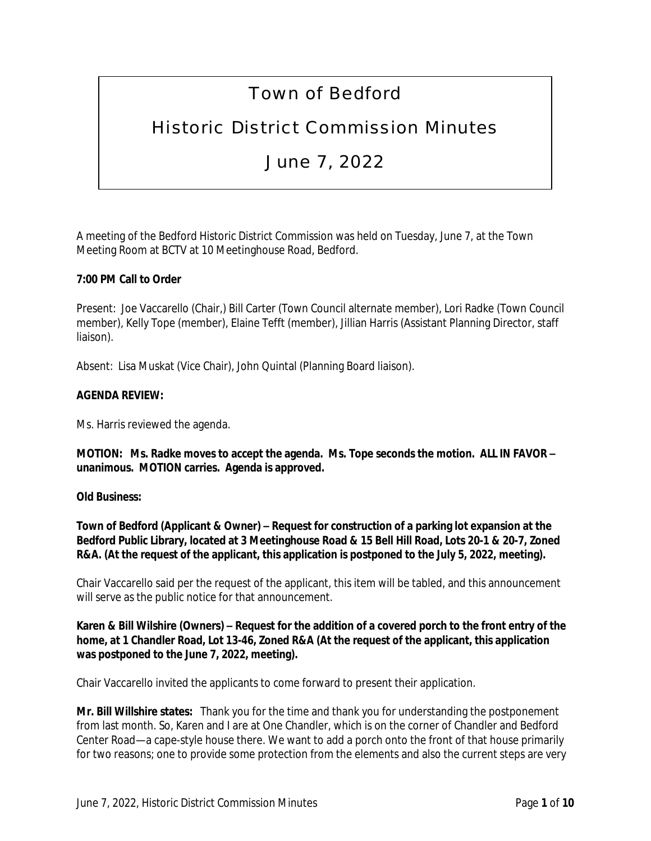# Town of Bedford

# Historic District Commission Minutes

# June 7, 2022

A meeting of the Bedford Historic District Commission was held on Tuesday, June 7, at the Town Meeting Room at BCTV at 10 Meetinghouse Road, Bedford.

# **7:00 PM Call to Order**

Present: Joe Vaccarello (Chair,) Bill Carter (Town Council alternate member), Lori Radke (Town Council member), Kelly Tope (member), Elaine Tefft (member), Jillian Harris (Assistant Planning Director, staff liaison).

Absent: Lisa Muskat (Vice Chair), John Quintal (Planning Board liaison).

#### **AGENDA REVIEW:**

Ms. Harris reviewed the agenda.

**MOTION: Ms. Radke moves to accept the agenda. Ms. Tope seconds the motion. ALL IN FAVOR – unanimous. MOTION carries. Agenda is approved.**

## **Old Business:**

**Town of Bedford (Applicant & Owner) – Request for construction of a parking lot expansion at the Bedford Public Library, located at 3 Meetinghouse Road & 15 Bell Hill Road, Lots 20-1 & 20-7, Zoned R&A. (At the request of the applicant, this application is postponed to the July 5, 2022, meeting).**

Chair Vaccarello said per the request of the applicant, this item will be tabled, and this announcement will serve as the public notice for that announcement.

## **Karen & Bill Wilshire (Owners) – Request for the addition of a covered porch to the front entry of the home, at 1 Chandler Road, Lot 13-46, Zoned R&A (At the request of the applicant, this application was postponed to the June 7, 2022, meeting).**

Chair Vaccarello invited the applicants to come forward to present their application.

**Mr. Bill Willshire states:** Thank you for the time and thank you for understanding the postponement from last month. So, Karen and I are at One Chandler, which is on the corner of Chandler and Bedford Center Road—a cape-style house there. We want to add a porch onto the front of that house primarily for two reasons; one to provide some protection from the elements and also the current steps are very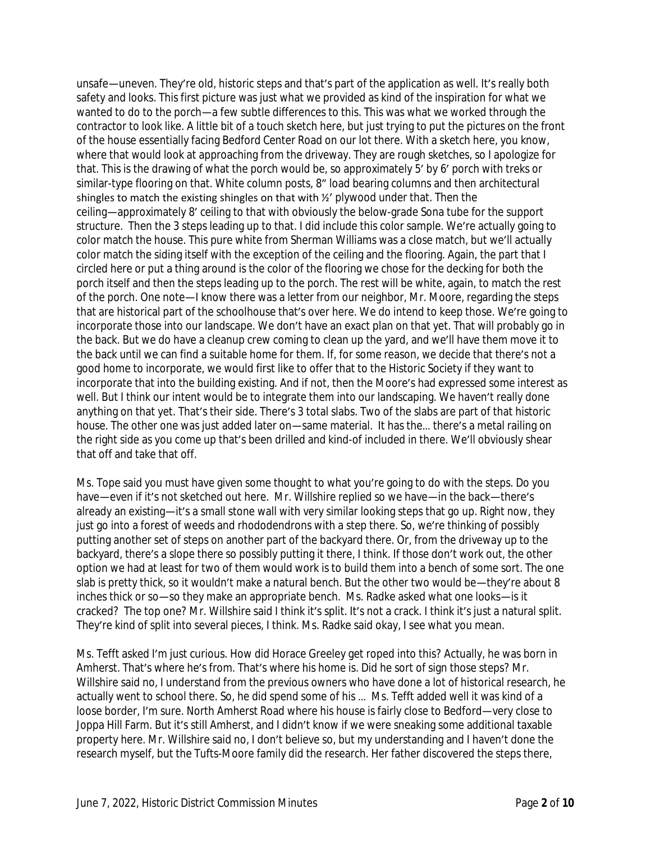unsafe—uneven. They're old, historic steps and that's part of the application as well. It's really both safety and looks. This first picture was just what we provided as kind of the inspiration for what we wanted to do to the porch—a few subtle differences to this. This was what we worked through the contractor to look like. A little bit of a touch sketch here, but just trying to put the pictures on the front of the house essentially facing Bedford Center Road on our lot there. With a sketch here, you know, where that would look at approaching from the driveway. They are rough sketches, so I apologize for that. This is the drawing of what the porch would be, so approximately 5' by 6' porch with treks or similar-type flooring on that. White column posts, 8" load bearing columns and then architectural shingles to match the existing shingles on that with ½' plywood under that. Then the ceiling—approximately 8' ceiling to that with obviously the below-grade Sona tube for the support structure. Then the 3 steps leading up to that. I did include this color sample. We're actually going to color match the house. This pure white from Sherman Williams was a close match, but we'll actually color match the siding itself with the exception of the ceiling and the flooring. Again, the part that I circled here or put a thing around is the color of the flooring we chose for the decking for both the porch itself and then the steps leading up to the porch. The rest will be white, again, to match the rest of the porch. One note—I know there was a letter from our neighbor, Mr. Moore, regarding the steps that are historical part of the schoolhouse that's over here. We do intend to keep those. We're going to incorporate those into our landscape. We don't have an exact plan on that yet. That will probably go in the back. But we do have a cleanup crew coming to clean up the yard, and we'll have them move it to the back until we can find a suitable home for them. If, for some reason, we decide that there's not a good home to incorporate, we would first like to offer that to the Historic Society if they want to incorporate that into the building existing. And if not, then the Moore's had expressed some interest as well. But I think our intent would be to integrate them into our landscaping. We haven't really done anything on that yet. That's their side. There's 3 total slabs. Two of the slabs are part of that historic house. The other one was just added later on—same material. It has the… there's a metal railing on the right side as you come up that's been drilled and kind-of included in there. We'll obviously shear that off and take that off.

Ms. Tope said you must have given some thought to what you're going to do with the steps. Do you have—even if it's not sketched out here. Mr. Willshire replied so we have—in the back—there's already an existing—it's a small stone wall with very similar looking steps that go up. Right now, they just go into a forest of weeds and rhododendrons with a step there. So, we're thinking of possibly putting another set of steps on another part of the backyard there. Or, from the driveway up to the backyard, there's a slope there so possibly putting it there, I think. If those don't work out, the other option we had at least for two of them would work is to build them into a bench of some sort. The one slab is pretty thick, so it wouldn't make a natural bench. But the other two would be—they're about 8 inches thick or so—so they make an appropriate bench. Ms. Radke asked what one looks—is it cracked? The top one? Mr. Willshire said I think it's split. It's not a crack. I think it's just a natural split. They're kind of split into several pieces, I think. Ms. Radke said okay, I see what you mean.

Ms. Tefft asked I'm just curious. How did Horace Greeley get roped into this? Actually, he was born in Amherst. That's where he's from. That's where his home is. Did he sort of sign those steps? Mr. Willshire said no, I understand from the previous owners who have done a lot of historical research, he actually went to school there. So, he did spend some of his … Ms. Tefft added well it was kind of a loose border, I'm sure. North Amherst Road where his house is fairly close to Bedford—very close to Joppa Hill Farm. But it's still Amherst, and I didn't know if we were sneaking some additional taxable property here. Mr. Willshire said no, I don't believe so, but my understanding and I haven't done the research myself, but the Tufts-Moore family did the research. Her father discovered the steps there,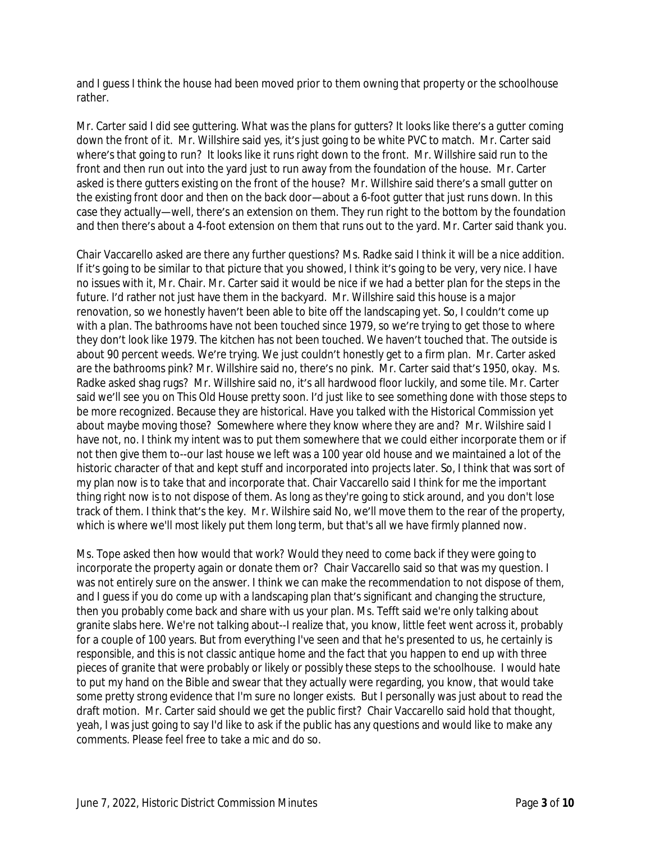and I guess I think the house had been moved prior to them owning that property or the schoolhouse rather.

Mr. Carter said I did see guttering. What was the plans for gutters? It looks like there's a gutter coming down the front of it. Mr. Willshire said yes, it's just going to be white PVC to match. Mr. Carter said where's that going to run? It looks like it runs right down to the front. Mr. Willshire said run to the front and then run out into the yard just to run away from the foundation of the house. Mr. Carter asked is there gutters existing on the front of the house? Mr. Willshire said there's a small gutter on the existing front door and then on the back door—about a 6-foot gutter that just runs down. In this case they actually—well, there's an extension on them. They run right to the bottom by the foundation and then there's about a 4-foot extension on them that runs out to the yard. Mr. Carter said thank you.

Chair Vaccarello asked are there any further questions? Ms. Radke said I think it will be a nice addition. If it's going to be similar to that picture that you showed, I think it's going to be very, very nice. I have no issues with it, Mr. Chair. Mr. Carter said it would be nice if we had a better plan for the steps in the future. I'd rather not just have them in the backyard. Mr. Willshire said this house is a major renovation, so we honestly haven't been able to bite off the landscaping yet. So, I couldn't come up with a plan. The bathrooms have not been touched since 1979, so we're trying to get those to where they don't look like 1979. The kitchen has not been touched. We haven't touched that. The outside is about 90 percent weeds. We're trying. We just couldn't honestly get to a firm plan. Mr. Carter asked are the bathrooms pink? Mr. Willshire said no, there's no pink. Mr. Carter said that's 1950, okay. Ms. Radke asked shag rugs? Mr. Willshire said no, it's all hardwood floor luckily, and some tile. Mr. Carter said we'll see you on This Old House pretty soon. I'd just like to see something done with those steps to be more recognized. Because they are historical. Have you talked with the Historical Commission yet about maybe moving those? Somewhere where they know where they are and? Mr. Wilshire said I have not, no. I think my intent was to put them somewhere that we could either incorporate them or if not then give them to--our last house we left was a 100 year old house and we maintained a lot of the historic character of that and kept stuff and incorporated into projects later. So, I think that was sort of my plan now is to take that and incorporate that. Chair Vaccarello said I think for me the important thing right now is to not dispose of them. As long as they're going to stick around, and you don't lose track of them. I think that's the key. Mr. Wilshire said No, we'll move them to the rear of the property, which is where we'll most likely put them long term, but that's all we have firmly planned now.

Ms. Tope asked then how would that work? Would they need to come back if they were going to incorporate the property again or donate them or? Chair Vaccarello said so that was my question. I was not entirely sure on the answer. I think we can make the recommendation to not dispose of them, and I guess if you do come up with a landscaping plan that's significant and changing the structure, then you probably come back and share with us your plan. Ms. Tefft said we're only talking about granite slabs here. We're not talking about--I realize that, you know, little feet went across it, probably for a couple of 100 years. But from everything I've seen and that he's presented to us, he certainly is responsible, and this is not classic antique home and the fact that you happen to end up with three pieces of granite that were probably or likely or possibly these steps to the schoolhouse. I would hate to put my hand on the Bible and swear that they actually were regarding, you know, that would take some pretty strong evidence that I'm sure no longer exists. But I personally was just about to read the draft motion. Mr. Carter said should we get the public first? Chair Vaccarello said hold that thought, yeah, I was just going to say I'd like to ask if the public has any questions and would like to make any comments. Please feel free to take a mic and do so.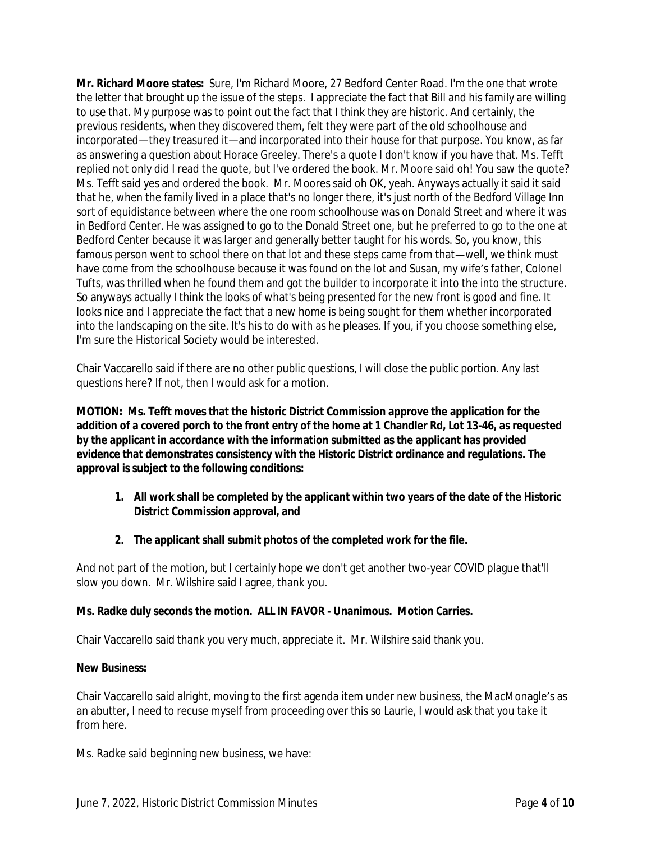**Mr. Richard Moore states:** Sure, I'm Richard Moore, 27 Bedford Center Road. I'm the one that wrote the letter that brought up the issue of the steps. I appreciate the fact that Bill and his family are willing to use that. My purpose was to point out the fact that I think they are historic. And certainly, the previous residents, when they discovered them, felt they were part of the old schoolhouse and incorporated—they treasured it—and incorporated into their house for that purpose. You know, as far as answering a question about Horace Greeley. There's a quote I don't know if you have that. Ms. Tefft replied not only did I read the quote, but I've ordered the book. Mr. Moore said oh! You saw the quote? Ms. Tefft said yes and ordered the book. Mr. Moores said oh OK, yeah. Anyways actually it said it said that he, when the family lived in a place that's no longer there, it's just north of the Bedford Village Inn sort of equidistance between where the one room schoolhouse was on Donald Street and where it was in Bedford Center. He was assigned to go to the Donald Street one, but he preferred to go to the one at Bedford Center because it was larger and generally better taught for his words. So, you know, this famous person went to school there on that lot and these steps came from that—well, we think must have come from the schoolhouse because it was found on the lot and Susan, my wife's father, Colonel Tufts, was thrilled when he found them and got the builder to incorporate it into the into the structure. So anyways actually I think the looks of what's being presented for the new front is good and fine. It looks nice and I appreciate the fact that a new home is being sought for them whether incorporated into the landscaping on the site. It's his to do with as he pleases. If you, if you choose something else, I'm sure the Historical Society would be interested.

Chair Vaccarello said if there are no other public questions, I will close the public portion. Any last questions here? If not, then I would ask for a motion.

**MOTION: Ms. Tefft moves that the historic District Commission approve the application for the addition of a covered porch to the front entry of the home at 1 Chandler Rd, Lot 13-46, as requested by the applicant in accordance with the information submitted as the applicant has provided evidence that demonstrates consistency with the Historic District ordinance and regulations. The approval is subject to the following conditions:**

- **1. All work shall be completed by the applicant within two years of the date of the Historic District Commission approval, and**
- **2. The applicant shall submit photos of the completed work for the file.**

And not part of the motion, but I certainly hope we don't get another two-year COVID plague that'll slow you down. Mr. Wilshire said I agree, thank you.

## **Ms. Radke duly seconds the motion. ALL IN FAVOR - Unanimous. Motion Carries.**

Chair Vaccarello said thank you very much, appreciate it. Mr. Wilshire said thank you.

#### **New Business:**

Chair Vaccarello said alright, moving to the first agenda item under new business, the MacMonagle's as an abutter, I need to recuse myself from proceeding over this so Laurie, I would ask that you take it from here.

Ms. Radke said beginning new business, we have: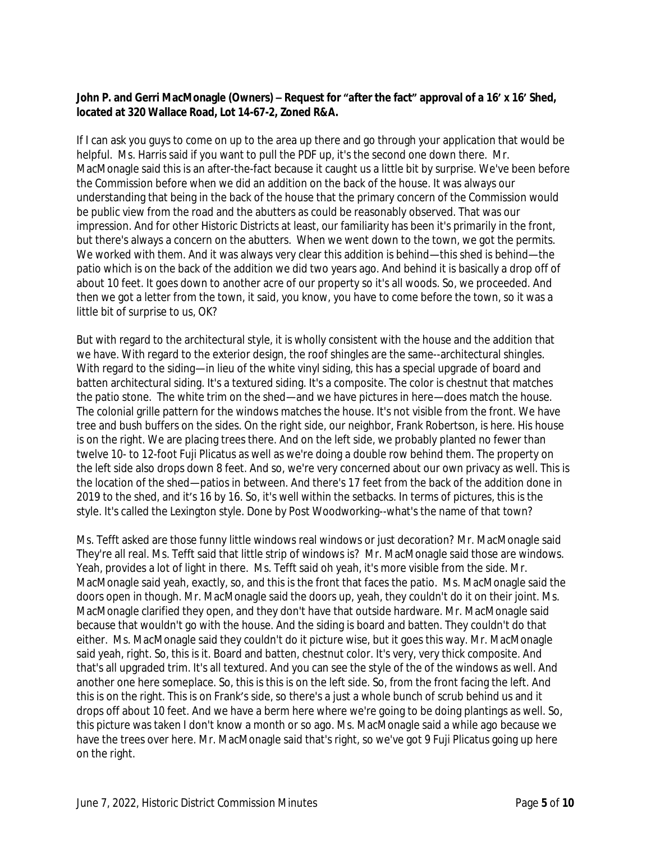#### **John P. and Gerri MacMonagle (Owners) – Request for "after the fact" approval of a 16' x 16' Shed, located at 320 Wallace Road, Lot 14-67-2, Zoned R&A.**

If I can ask you guys to come on up to the area up there and go through your application that would be helpful. Ms. Harris said if you want to pull the PDF up, it's the second one down there. Mr. MacMonagle said this is an after-the-fact because it caught us a little bit by surprise. We've been before the Commission before when we did an addition on the back of the house. It was always our understanding that being in the back of the house that the primary concern of the Commission would be public view from the road and the abutters as could be reasonably observed. That was our impression. And for other Historic Districts at least, our familiarity has been it's primarily in the front, but there's always a concern on the abutters. When we went down to the town, we got the permits. We worked with them. And it was always very clear this addition is behind—this shed is behind—the patio which is on the back of the addition we did two years ago. And behind it is basically a drop off of about 10 feet. It goes down to another acre of our property so it's all woods. So, we proceeded. And then we got a letter from the town, it said, you know, you have to come before the town, so it was a little bit of surprise to us, OK?

But with regard to the architectural style, it is wholly consistent with the house and the addition that we have. With regard to the exterior design, the roof shingles are the same--architectural shingles. With regard to the siding—in lieu of the white vinyl siding, this has a special upgrade of board and batten architectural siding. It's a textured siding. It's a composite. The color is chestnut that matches the patio stone. The white trim on the shed—and we have pictures in here—does match the house. The colonial grille pattern for the windows matches the house. It's not visible from the front. We have tree and bush buffers on the sides. On the right side, our neighbor, Frank Robertson, is here. His house is on the right. We are placing trees there. And on the left side, we probably planted no fewer than twelve 10- to 12-foot Fuji Plicatus as well as we're doing a double row behind them. The property on the left side also drops down 8 feet. And so, we're very concerned about our own privacy as well. This is the location of the shed—patios in between. And there's 17 feet from the back of the addition done in 2019 to the shed, and it's 16 by 16. So, it's well within the setbacks. In terms of pictures, this is the style. It's called the Lexington style. Done by Post Woodworking--what's the name of that town?

Ms. Tefft asked are those funny little windows real windows or just decoration? Mr. MacMonagle said They're all real. Ms. Tefft said that little strip of windows is? Mr. MacMonagle said those are windows. Yeah, provides a lot of light in there. Ms. Tefft said oh yeah, it's more visible from the side. Mr. MacMonagle said yeah, exactly, so, and this is the front that faces the patio. Ms. MacMonagle said the doors open in though. Mr. MacMonagle said the doors up, yeah, they couldn't do it on their joint. Ms. MacMonagle clarified they open, and they don't have that outside hardware. Mr. MacMonagle said because that wouldn't go with the house. And the siding is board and batten. They couldn't do that either. Ms. MacMonagle said they couldn't do it picture wise, but it goes this way. Mr. MacMonagle said yeah, right. So, this is it. Board and batten, chestnut color. It's very, very thick composite. And that's all upgraded trim. It's all textured. And you can see the style of the of the windows as well. And another one here someplace. So, this is this is on the left side. So, from the front facing the left. And this is on the right. This is on Frank's side, so there's a just a whole bunch of scrub behind us and it drops off about 10 feet. And we have a berm here where we're going to be doing plantings as well. So, this picture was taken I don't know a month or so ago. Ms. MacMonagle said a while ago because we have the trees over here. Mr. MacMonagle said that's right, so we've got 9 Fuji Plicatus going up here on the right.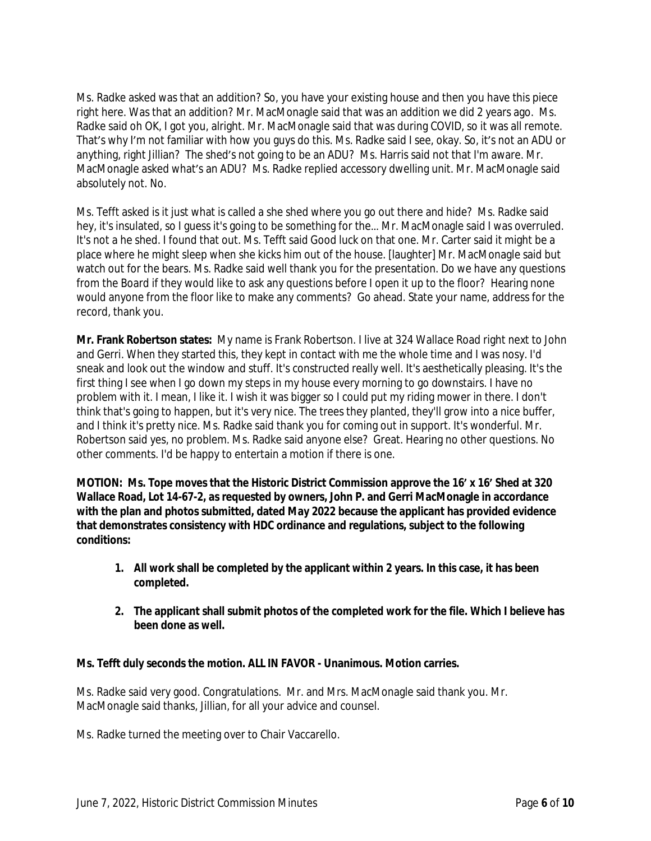Ms. Radke asked was that an addition? So, you have your existing house and then you have this piece right here. Was that an addition? Mr. MacMonagle said that was an addition we did 2 years ago. Ms. Radke said oh OK, I got you, alright. Mr. MacMonagle said that was during COVID, so it was all remote. That's why I'm not familiar with how you guys do this. Ms. Radke said I see, okay. So, it's not an ADU or anything, right Jillian? The shed's not going to be an ADU? Ms. Harris said not that I'm aware. Mr. MacMonagle asked what's an ADU? Ms. Radke replied accessory dwelling unit. Mr. MacMonagle said absolutely not. No.

Ms. Tefft asked is it just what is called a she shed where you go out there and hide? Ms. Radke said hey, it's insulated, so I guess it's going to be something for the… Mr. MacMonagle said I was overruled. It's not a he shed. I found that out. Ms. Tefft said Good luck on that one. Mr. Carter said it might be a place where he might sleep when she kicks him out of the house. [laughter] Mr. MacMonagle said but watch out for the bears. Ms. Radke said well thank you for the presentation. Do we have any questions from the Board if they would like to ask any questions before I open it up to the floor? Hearing none would anyone from the floor like to make any comments? Go ahead. State your name, address for the record, thank you.

**Mr. Frank Robertson states:** My name is Frank Robertson. I live at 324 Wallace Road right next to John and Gerri. When they started this, they kept in contact with me the whole time and I was nosy. I'd sneak and look out the window and stuff. It's constructed really well. It's aesthetically pleasing. It's the first thing I see when I go down my steps in my house every morning to go downstairs. I have no problem with it. I mean, I like it. I wish it was bigger so I could put my riding mower in there. I don't think that's going to happen, but it's very nice. The trees they planted, they'll grow into a nice buffer, and I think it's pretty nice. Ms. Radke said thank you for coming out in support. It's wonderful. Mr. Robertson said yes, no problem. Ms. Radke said anyone else? Great. Hearing no other questions. No other comments. I'd be happy to entertain a motion if there is one.

**MOTION: Ms. Tope moves that the Historic District Commission approve the 16' x 16' Shed at 320 Wallace Road, Lot 14-67-2, as requested by owners, John P. and Gerri MacMonagle in accordance with the plan and photos submitted, dated May 2022 because the applicant has provided evidence that demonstrates consistency with HDC ordinance and regulations, subject to the following conditions:**

- **1. All work shall be completed by the applicant within 2 years. In this case, it has been completed.**
- **2. The applicant shall submit photos of the completed work for the file. Which I believe has been done as well.**

## **Ms. Tefft duly seconds the motion. ALL IN FAVOR - Unanimous. Motion carries.**

Ms. Radke said very good. Congratulations. Mr. and Mrs. MacMonagle said thank you. Mr. MacMonagle said thanks, Jillian, for all your advice and counsel.

Ms. Radke turned the meeting over to Chair Vaccarello.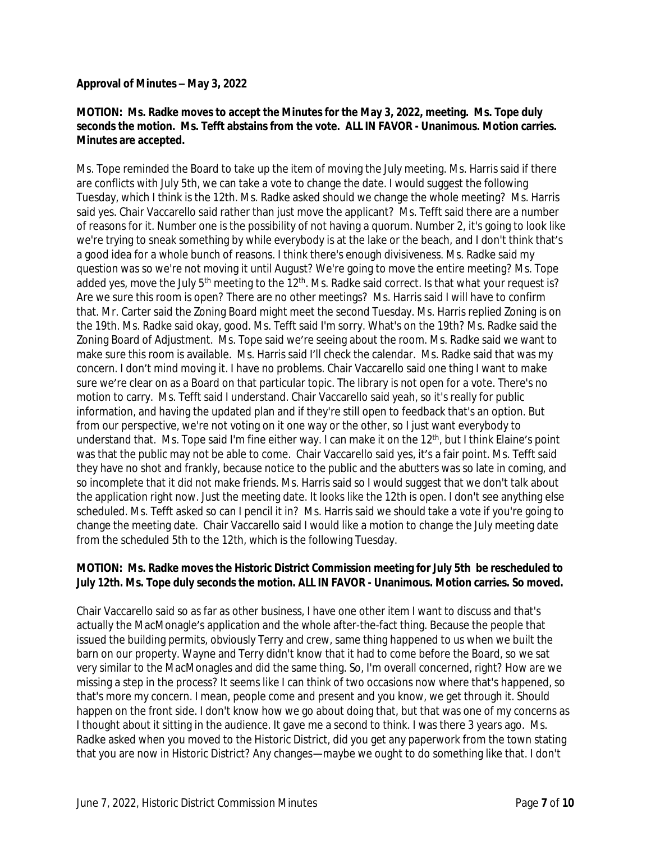#### **Approval of Minutes – May 3, 2022**

## **MOTION: Ms. Radke moves to accept the Minutes for the May 3, 2022, meeting. Ms. Tope duly seconds the motion. Ms. Tefft abstains from the vote. ALL IN FAVOR - Unanimous. Motion carries. Minutes are accepted.**

Ms. Tope reminded the Board to take up the item of moving the July meeting. Ms. Harris said if there are conflicts with July 5th, we can take a vote to change the date. I would suggest the following Tuesday, which I think is the 12th. Ms. Radke asked should we change the whole meeting? Ms. Harris said yes. Chair Vaccarello said rather than just move the applicant? Ms. Tefft said there are a number of reasons for it. Number one is the possibility of not having a quorum. Number 2, it's going to look like we're trying to sneak something by while everybody is at the lake or the beach, and I don't think that's a good idea for a whole bunch of reasons. I think there's enough divisiveness. Ms. Radke said my question was so we're not moving it until August? We're going to move the entire meeting? Ms. Tope added yes, move the July 5<sup>th</sup> meeting to the 12<sup>th</sup>. Ms. Radke said correct. Is that what your request is? Are we sure this room is open? There are no other meetings? Ms. Harris said I will have to confirm that. Mr. Carter said the Zoning Board might meet the second Tuesday. Ms. Harris replied Zoning is on the 19th. Ms. Radke said okay, good. Ms. Tefft said I'm sorry. What's on the 19th? Ms. Radke said the Zoning Board of Adjustment. Ms. Tope said we're seeing about the room. Ms. Radke said we want to make sure this room is available. Ms. Harris said I'll check the calendar. Ms. Radke said that was my concern. I don't mind moving it. I have no problems. Chair Vaccarello said one thing I want to make sure we're clear on as a Board on that particular topic. The library is not open for a vote. There's no motion to carry. Ms. Tefft said I understand. Chair Vaccarello said yeah, so it's really for public information, and having the updated plan and if they're still open to feedback that's an option. But from our perspective, we're not voting on it one way or the other, so I just want everybody to understand that. Ms. Tope said I'm fine either way. I can make it on the 12<sup>th</sup>, but I think Elaine's point was that the public may not be able to come. Chair Vaccarello said yes, it's a fair point. Ms. Tefft said they have no shot and frankly, because notice to the public and the abutters was so late in coming, and so incomplete that it did not make friends. Ms. Harris said so I would suggest that we don't talk about the application right now. Just the meeting date. It looks like the 12th is open. I don't see anything else scheduled. Ms. Tefft asked so can I pencil it in? Ms. Harris said we should take a vote if you're going to change the meeting date. Chair Vaccarello said I would like a motion to change the July meeting date from the scheduled 5th to the 12th, which is the following Tuesday.

## **MOTION: Ms. Radke moves the Historic District Commission meeting for July 5th be rescheduled to July 12th. Ms. Tope duly seconds the motion. ALL IN FAVOR - Unanimous. Motion carries. So moved.**

Chair Vaccarello said so as far as other business, I have one other item I want to discuss and that's actually the MacMonagle's application and the whole after-the-fact thing. Because the people that issued the building permits, obviously Terry and crew, same thing happened to us when we built the barn on our property. Wayne and Terry didn't know that it had to come before the Board, so we sat very similar to the MacMonagles and did the same thing. So, I'm overall concerned, right? How are we missing a step in the process? It seems like I can think of two occasions now where that's happened, so that's more my concern. I mean, people come and present and you know, we get through it. Should happen on the front side. I don't know how we go about doing that, but that was one of my concerns as I thought about it sitting in the audience. It gave me a second to think. I was there 3 years ago. Ms. Radke asked when you moved to the Historic District, did you get any paperwork from the town stating that you are now in Historic District? Any changes—maybe we ought to do something like that. I don't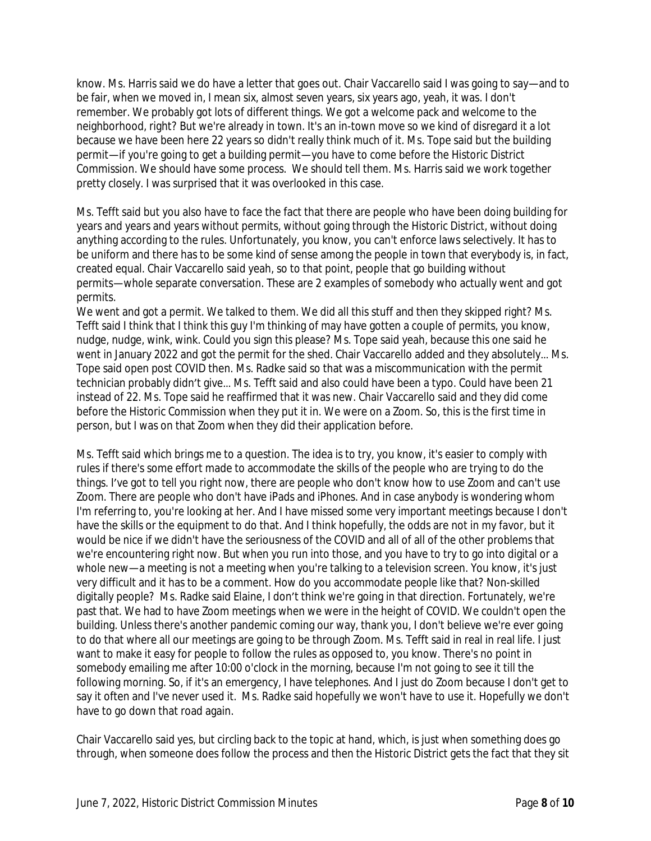know. Ms. Harris said we do have a letter that goes out. Chair Vaccarello said I was going to say—and to be fair, when we moved in, I mean six, almost seven years, six years ago, yeah, it was. I don't remember. We probably got lots of different things. We got a welcome pack and welcome to the neighborhood, right? But we're already in town. It's an in-town move so we kind of disregard it a lot because we have been here 22 years so didn't really think much of it. Ms. Tope said but the building permit—if you're going to get a building permit—you have to come before the Historic District Commission. We should have some process. We should tell them. Ms. Harris said we work together pretty closely. I was surprised that it was overlooked in this case.

Ms. Tefft said but you also have to face the fact that there are people who have been doing building for years and years and years without permits, without going through the Historic District, without doing anything according to the rules. Unfortunately, you know, you can't enforce laws selectively. It has to be uniform and there has to be some kind of sense among the people in town that everybody is, in fact, created equal. Chair Vaccarello said yeah, so to that point, people that go building without permits—whole separate conversation. These are 2 examples of somebody who actually went and got permits.

We went and got a permit. We talked to them. We did all this stuff and then they skipped right? Ms. Tefft said I think that I think this guy I'm thinking of may have gotten a couple of permits, you know, nudge, nudge, wink, wink. Could you sign this please? Ms. Tope said yeah, because this one said he went in January 2022 and got the permit for the shed. Chair Vaccarello added and they absolutely… Ms. Tope said open post COVID then. Ms. Radke said so that was a miscommunication with the permit technician probably didn't give… Ms. Tefft said and also could have been a typo. Could have been 21 instead of 22. Ms. Tope said he reaffirmed that it was new. Chair Vaccarello said and they did come before the Historic Commission when they put it in. We were on a Zoom. So, this is the first time in person, but I was on that Zoom when they did their application before.

Ms. Tefft said which brings me to a question. The idea is to try, you know, it's easier to comply with rules if there's some effort made to accommodate the skills of the people who are trying to do the things. I've got to tell you right now, there are people who don't know how to use Zoom and can't use Zoom. There are people who don't have iPads and iPhones. And in case anybody is wondering whom I'm referring to, you're looking at her. And I have missed some very important meetings because I don't have the skills or the equipment to do that. And I think hopefully, the odds are not in my favor, but it would be nice if we didn't have the seriousness of the COVID and all of all of the other problems that we're encountering right now. But when you run into those, and you have to try to go into digital or a whole new—a meeting is not a meeting when you're talking to a television screen. You know, it's just very difficult and it has to be a comment. How do you accommodate people like that? Non-skilled digitally people? Ms. Radke said Elaine, I don't think we're going in that direction. Fortunately, we're past that. We had to have Zoom meetings when we were in the height of COVID. We couldn't open the building. Unless there's another pandemic coming our way, thank you, I don't believe we're ever going to do that where all our meetings are going to be through Zoom. Ms. Tefft said in real in real life. I just want to make it easy for people to follow the rules as opposed to, you know. There's no point in somebody emailing me after 10:00 o'clock in the morning, because I'm not going to see it till the following morning. So, if it's an emergency, I have telephones. And I just do Zoom because I don't get to say it often and I've never used it. Ms. Radke said hopefully we won't have to use it. Hopefully we don't have to go down that road again.

Chair Vaccarello said yes, but circling back to the topic at hand, which, is just when something does go through, when someone does follow the process and then the Historic District gets the fact that they sit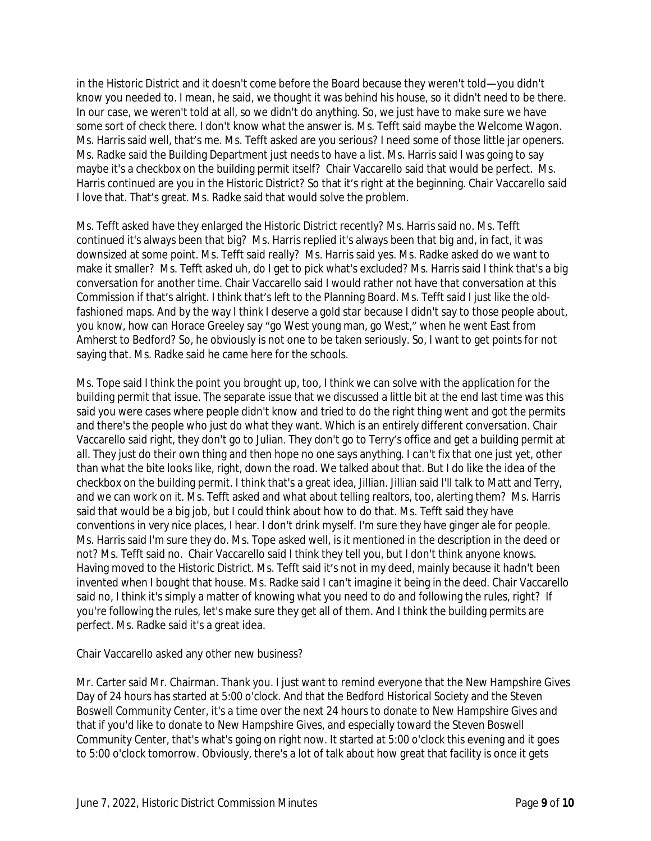in the Historic District and it doesn't come before the Board because they weren't told—you didn't know you needed to. I mean, he said, we thought it was behind his house, so it didn't need to be there. In our case, we weren't told at all, so we didn't do anything. So, we just have to make sure we have some sort of check there. I don't know what the answer is. Ms. Tefft said maybe the Welcome Wagon. Ms. Harris said well, that's me. Ms. Tefft asked are you serious? I need some of those little jar openers. Ms. Radke said the Building Department just needs to have a list. Ms. Harris said I was going to say maybe it's a checkbox on the building permit itself? Chair Vaccarello said that would be perfect. Ms. Harris continued are you in the Historic District? So that it's right at the beginning. Chair Vaccarello said I love that. That's great. Ms. Radke said that would solve the problem.

Ms. Tefft asked have they enlarged the Historic District recently? Ms. Harris said no. Ms. Tefft continued it's always been that big? Ms. Harris replied it's always been that big and, in fact, it was downsized at some point. Ms. Tefft said really? Ms. Harris said yes. Ms. Radke asked do we want to make it smaller? Ms. Tefft asked uh, do I get to pick what's excluded? Ms. Harris said I think that's a big conversation for another time. Chair Vaccarello said I would rather not have that conversation at this Commission if that's alright. I think that's left to the Planning Board. Ms. Tefft said I just like the oldfashioned maps. And by the way I think I deserve a gold star because I didn't say to those people about, you know, how can Horace Greeley say "go West young man, go West," when he went East from Amherst to Bedford? So, he obviously is not one to be taken seriously. So, I want to get points for not saying that. Ms. Radke said he came here for the schools.

Ms. Tope said I think the point you brought up, too, I think we can solve with the application for the building permit that issue. The separate issue that we discussed a little bit at the end last time was this said you were cases where people didn't know and tried to do the right thing went and got the permits and there's the people who just do what they want. Which is an entirely different conversation. Chair Vaccarello said right, they don't go to Julian. They don't go to Terry's office and get a building permit at all. They just do their own thing and then hope no one says anything. I can't fix that one just yet, other than what the bite looks like, right, down the road. We talked about that. But I do like the idea of the checkbox on the building permit. I think that's a great idea, Jillian. Jillian said I'll talk to Matt and Terry, and we can work on it. Ms. Tefft asked and what about telling realtors, too, alerting them? Ms. Harris said that would be a big job, but I could think about how to do that. Ms. Tefft said they have conventions in very nice places, I hear. I don't drink myself. I'm sure they have ginger ale for people. Ms. Harris said I'm sure they do. Ms. Tope asked well, is it mentioned in the description in the deed or not? Ms. Tefft said no. Chair Vaccarello said I think they tell you, but I don't think anyone knows. Having moved to the Historic District. Ms. Tefft said it's not in my deed, mainly because it hadn't been invented when I bought that house. Ms. Radke said I can't imagine it being in the deed. Chair Vaccarello said no, I think it's simply a matter of knowing what you need to do and following the rules, right? If you're following the rules, let's make sure they get all of them. And I think the building permits are perfect. Ms. Radke said it's a great idea.

## Chair Vaccarello asked any other new business?

Mr. Carter said Mr. Chairman. Thank you. I just want to remind everyone that the New Hampshire Gives Day of 24 hours has started at 5:00 o'clock. And that the Bedford Historical Society and the Steven Boswell Community Center, it's a time over the next 24 hours to donate to New Hampshire Gives and that if you'd like to donate to New Hampshire Gives, and especially toward the Steven Boswell Community Center, that's what's going on right now. It started at 5:00 o'clock this evening and it goes to 5:00 o'clock tomorrow. Obviously, there's a lot of talk about how great that facility is once it gets